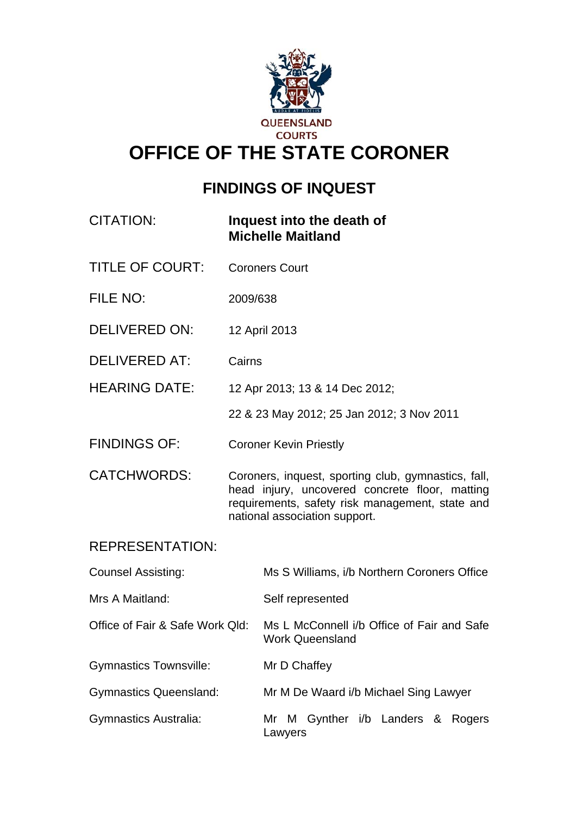

# **OFFICE OF THE STATE CORONER**

# **FINDINGS OF INQUEST**

| <b>CITATION:</b>                |                               | Inquest into the death of<br><b>Michelle Maitland</b>                                                                                                                                     |
|---------------------------------|-------------------------------|-------------------------------------------------------------------------------------------------------------------------------------------------------------------------------------------|
| <b>TITLE OF COURT:</b>          |                               | <b>Coroners Court</b>                                                                                                                                                                     |
| FILE NO:                        | 2009/638                      |                                                                                                                                                                                           |
| <b>DELIVERED ON:</b>            | 12 April 2013                 |                                                                                                                                                                                           |
| DELIVERED AT:                   | Cairns                        |                                                                                                                                                                                           |
| <b>HEARING DATE:</b>            |                               | 12 Apr 2013; 13 & 14 Dec 2012;                                                                                                                                                            |
|                                 |                               | 22 & 23 May 2012; 25 Jan 2012; 3 Nov 2011                                                                                                                                                 |
| <b>FINDINGS OF:</b>             | <b>Coroner Kevin Priestly</b> |                                                                                                                                                                                           |
| <b>CATCHWORDS:</b>              |                               | Coroners, inquest, sporting club, gymnastics, fall,<br>head injury, uncovered concrete floor, matting<br>requirements, safety risk management, state and<br>national association support. |
| <b>REPRESENTATION:</b>          |                               |                                                                                                                                                                                           |
| <b>Counsel Assisting:</b>       |                               | Ms S Williams, i/b Northern Coroners Office                                                                                                                                               |
| Mrs A Maitland:                 |                               | Self represented                                                                                                                                                                          |
| Office of Fair & Safe Work Qld: |                               | Ms L McConnell i/b Office of Fair and Safe<br><b>Work Queensland</b>                                                                                                                      |
| <b>Gymnastics Townsville:</b>   |                               | Mr D Chaffey                                                                                                                                                                              |
| <b>Gymnastics Queensland:</b>   |                               | Mr M De Waard i/b Michael Sing Lawyer                                                                                                                                                     |
| Gymnastics Australia:           |                               | Mr M Gynther i/b Landers &<br>Rogers<br>Lawyers                                                                                                                                           |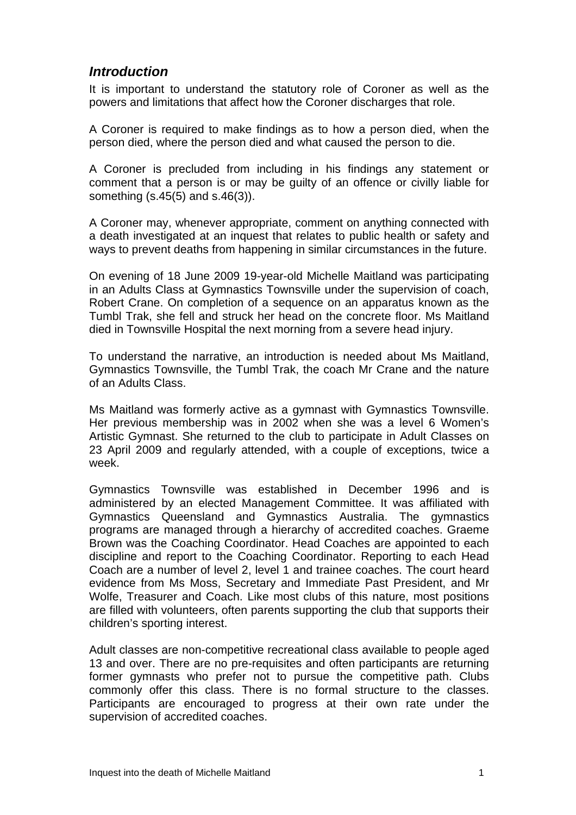#### *Introduction*

It is important to understand the statutory role of Coroner as well as the powers and limitations that affect how the Coroner discharges that role.

A Coroner is required to make findings as to how a person died, when the person died, where the person died and what caused the person to die.

A Coroner is precluded from including in his findings any statement or comment that a person is or may be guilty of an offence or civilly liable for something (s.45(5) and s.46(3)).

A Coroner may, whenever appropriate, comment on anything connected with a death investigated at an inquest that relates to public health or safety and ways to prevent deaths from happening in similar circumstances in the future.

On evening of 18 June 2009 19-year-old Michelle Maitland was participating in an Adults Class at Gymnastics Townsville under the supervision of coach, Robert Crane. On completion of a sequence on an apparatus known as the Tumbl Trak, she fell and struck her head on the concrete floor. Ms Maitland died in Townsville Hospital the next morning from a severe head injury.

To understand the narrative, an introduction is needed about Ms Maitland, Gymnastics Townsville, the Tumbl Trak, the coach Mr Crane and the nature of an Adults Class.

Ms Maitland was formerly active as a gymnast with Gymnastics Townsville. Her previous membership was in 2002 when she was a level 6 Women's Artistic Gymnast. She returned to the club to participate in Adult Classes on 23 April 2009 and regularly attended, with a couple of exceptions, twice a week.

Gymnastics Townsville was established in December 1996 and is administered by an elected Management Committee. It was affiliated with Gymnastics Queensland and Gymnastics Australia. The gymnastics programs are managed through a hierarchy of accredited coaches. Graeme Brown was the Coaching Coordinator. Head Coaches are appointed to each discipline and report to the Coaching Coordinator. Reporting to each Head Coach are a number of level 2, level 1 and trainee coaches. The court heard evidence from Ms Moss, Secretary and Immediate Past President, and Mr Wolfe, Treasurer and Coach. Like most clubs of this nature, most positions are filled with volunteers, often parents supporting the club that supports their children's sporting interest.

Adult classes are non-competitive recreational class available to people aged 13 and over. There are no pre-requisites and often participants are returning former gymnasts who prefer not to pursue the competitive path. Clubs commonly offer this class. There is no formal structure to the classes. Participants are encouraged to progress at their own rate under the supervision of accredited coaches.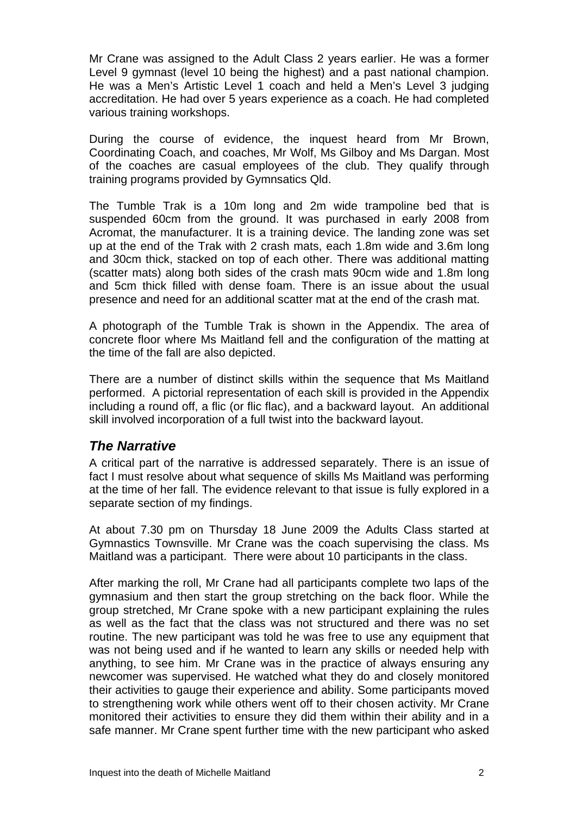Mr Crane was assigned to the Adult Class 2 years earlier. He was a former Level 9 gymnast (level 10 being the highest) and a past national champion. He was a Men's Artistic Level 1 coach and held a Men's Level 3 judging accreditation. He had over 5 years experience as a coach. He had completed various training workshops.

During the course of evidence, the inquest heard from Mr Brown, Coordinating Coach, and coaches, Mr Wolf, Ms Gilboy and Ms Dargan. Most of the coaches are casual employees of the club. They qualify through training programs provided by Gymnsatics Qld.

The Tumble Trak is a 10m long and 2m wide trampoline bed that is suspended 60cm from the ground. It was purchased in early 2008 from Acromat, the manufacturer. It is a training device. The landing zone was set up at the end of the Trak with 2 crash mats, each 1.8m wide and 3.6m long and 30cm thick, stacked on top of each other. There was additional matting (scatter mats) along both sides of the crash mats 90cm wide and 1.8m long and 5cm thick filled with dense foam. There is an issue about the usual presence and need for an additional scatter mat at the end of the crash mat.

A photograph of the Tumble Trak is shown in the Appendix. The area of concrete floor where Ms Maitland fell and the configuration of the matting at the time of the fall are also depicted.

There are a number of distinct skills within the sequence that Ms Maitland performed. A pictorial representation of each skill is provided in the Appendix including a round off, a flic (or flic flac), and a backward layout. An additional skill involved incorporation of a full twist into the backward layout.

#### *The Narrative*

A critical part of the narrative is addressed separately. There is an issue of fact I must resolve about what sequence of skills Ms Maitland was performing at the time of her fall. The evidence relevant to that issue is fully explored in a separate section of my findings.

At about 7.30 pm on Thursday 18 June 2009 the Adults Class started at Gymnastics Townsville. Mr Crane was the coach supervising the class. Ms Maitland was a participant. There were about 10 participants in the class.

After marking the roll, Mr Crane had all participants complete two laps of the gymnasium and then start the group stretching on the back floor. While the group stretched, Mr Crane spoke with a new participant explaining the rules as well as the fact that the class was not structured and there was no set routine. The new participant was told he was free to use any equipment that was not being used and if he wanted to learn any skills or needed help with anything, to see him. Mr Crane was in the practice of always ensuring any newcomer was supervised. He watched what they do and closely monitored their activities to gauge their experience and ability. Some participants moved to strengthening work while others went off to their chosen activity. Mr Crane monitored their activities to ensure they did them within their ability and in a safe manner. Mr Crane spent further time with the new participant who asked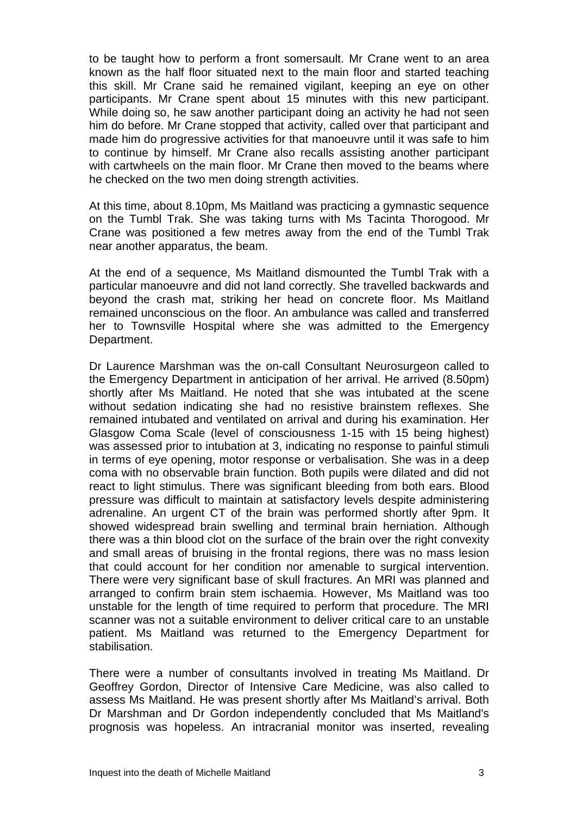to be taught how to perform a front somersault. Mr Crane went to an area known as the half floor situated next to the main floor and started teaching this skill. Mr Crane said he remained vigilant, keeping an eye on other participants. Mr Crane spent about 15 minutes with this new participant. While doing so, he saw another participant doing an activity he had not seen him do before. Mr Crane stopped that activity, called over that participant and made him do progressive activities for that manoeuvre until it was safe to him to continue by himself. Mr Crane also recalls assisting another participant with cartwheels on the main floor. Mr Crane then moved to the beams where he checked on the two men doing strength activities.

At this time, about 8.10pm, Ms Maitland was practicing a gymnastic sequence on the Tumbl Trak. She was taking turns with Ms Tacinta Thorogood. Mr Crane was positioned a few metres away from the end of the Tumbl Trak near another apparatus, the beam.

At the end of a sequence, Ms Maitland dismounted the Tumbl Trak with a particular manoeuvre and did not land correctly. She travelled backwards and beyond the crash mat, striking her head on concrete floor. Ms Maitland remained unconscious on the floor. An ambulance was called and transferred her to Townsville Hospital where she was admitted to the Emergency Department.

Dr Laurence Marshman was the on-call Consultant Neurosurgeon called to the Emergency Department in anticipation of her arrival. He arrived (8.50pm) shortly after Ms Maitland. He noted that she was intubated at the scene without sedation indicating she had no resistive brainstem reflexes. She remained intubated and ventilated on arrival and during his examination. Her Glasgow Coma Scale (level of consciousness 1-15 with 15 being highest) was assessed prior to intubation at 3, indicating no response to painful stimuli in terms of eye opening, motor response or verbalisation. She was in a deep coma with no observable brain function. Both pupils were dilated and did not react to light stimulus. There was significant bleeding from both ears. Blood pressure was difficult to maintain at satisfactory levels despite administering adrenaline. An urgent CT of the brain was performed shortly after 9pm. It showed widespread brain swelling and terminal brain herniation. Although there was a thin blood clot on the surface of the brain over the right convexity and small areas of bruising in the frontal regions, there was no mass lesion that could account for her condition nor amenable to surgical intervention. There were very significant base of skull fractures. An MRI was planned and arranged to confirm brain stem ischaemia. However, Ms Maitland was too unstable for the length of time required to perform that procedure. The MRI scanner was not a suitable environment to deliver critical care to an unstable patient. Ms Maitland was returned to the Emergency Department for stabilisation.

There were a number of consultants involved in treating Ms Maitland. Dr Geoffrey Gordon, Director of Intensive Care Medicine, was also called to assess Ms Maitland. He was present shortly after Ms Maitland's arrival. Both Dr Marshman and Dr Gordon independently concluded that Ms Maitland's prognosis was hopeless. An intracranial monitor was inserted, revealing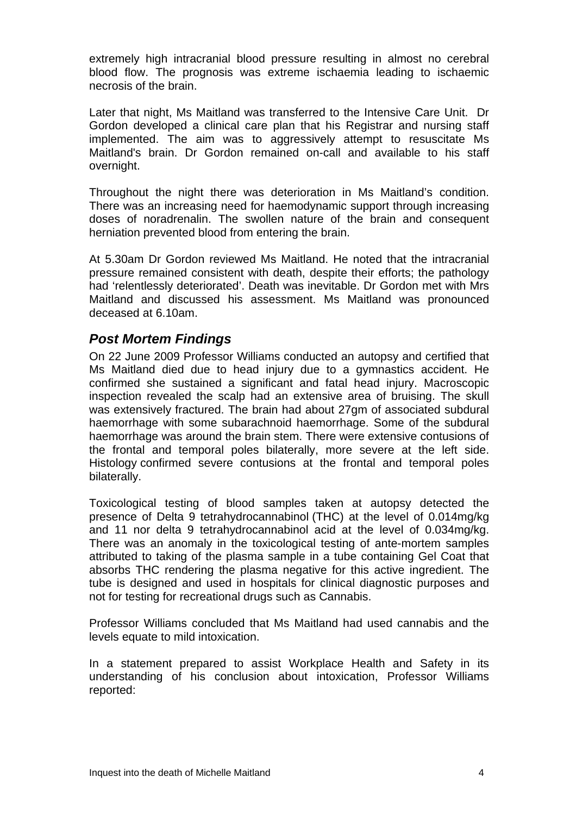extremely high intracranial blood pressure resulting in almost no cerebral blood flow. The prognosis was extreme ischaemia leading to ischaemic necrosis of the brain.

Later that night, Ms Maitland was transferred to the Intensive Care Unit. Dr Gordon developed a clinical care plan that his Registrar and nursing staff implemented. The aim was to aggressively attempt to resuscitate Ms Maitland's brain. Dr Gordon remained on-call and available to his staff overnight.

Throughout the night there was deterioration in Ms Maitland's condition. There was an increasing need for haemodynamic support through increasing doses of noradrenalin. The swollen nature of the brain and consequent herniation prevented blood from entering the brain.

At 5.30am Dr Gordon reviewed Ms Maitland. He noted that the intracranial pressure remained consistent with death, despite their efforts; the pathology had 'relentlessly deteriorated'. Death was inevitable. Dr Gordon met with Mrs Maitland and discussed his assessment. Ms Maitland was pronounced deceased at 6.10am.

#### *Post Mortem Findings*

On 22 June 2009 Professor Williams conducted an autopsy and certified that Ms Maitland died due to head injury due to a gymnastics accident. He confirmed she sustained a significant and fatal head injury. Macroscopic inspection revealed the scalp had an extensive area of bruising. The skull was extensively fractured. The brain had about 27gm of associated subdural haemorrhage with some subarachnoid haemorrhage. Some of the subdural haemorrhage was around the brain stem. There were extensive contusions of the frontal and temporal poles bilaterally, more severe at the left side. Histology confirmed severe contusions at the frontal and temporal poles bilaterally.

Toxicological testing of blood samples taken at autopsy detected the presence of Delta 9 tetrahydrocannabinol (THC) at the level of 0.014mg/kg and 11 nor delta 9 tetrahydrocannabinol acid at the level of 0.034mg/kg. There was an anomaly in the toxicological testing of ante-mortem samples attributed to taking of the plasma sample in a tube containing Gel Coat that absorbs THC rendering the plasma negative for this active ingredient. The tube is designed and used in hospitals for clinical diagnostic purposes and not for testing for recreational drugs such as Cannabis.

Professor Williams concluded that Ms Maitland had used cannabis and the levels equate to mild intoxication.

In a statement prepared to assist Workplace Health and Safety in its understanding of his conclusion about intoxication, Professor Williams reported: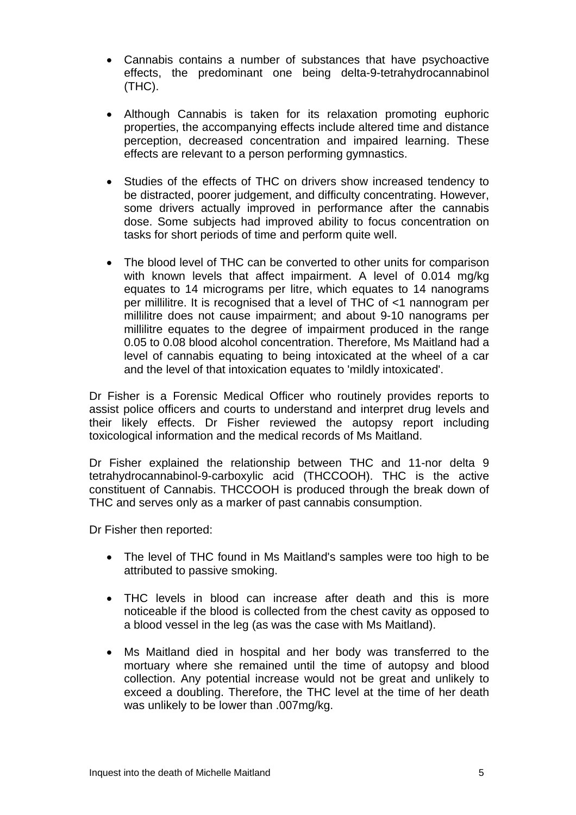- Cannabis contains a number of substances that have psychoactive effects, the predominant one being delta-9-tetrahydrocannabinol (THC).
- Although Cannabis is taken for its relaxation promoting euphoric properties, the accompanying effects include altered time and distance perception, decreased concentration and impaired learning. These effects are relevant to a person performing gymnastics.
- Studies of the effects of THC on drivers show increased tendency to be distracted, poorer judgement, and difficulty concentrating. However, some drivers actually improved in performance after the cannabis dose. Some subjects had improved ability to focus concentration on tasks for short periods of time and perform quite well.
- The blood level of THC can be converted to other units for comparison with known levels that affect impairment. A level of 0.014 mg/kg equates to 14 micrograms per litre, which equates to 14 nanograms per millilitre. It is recognised that a level of THC of <1 nannogram per millilitre does not cause impairment; and about 9-10 nanograms per millilitre equates to the degree of impairment produced in the range 0.05 to 0.08 blood alcohol concentration. Therefore, Ms Maitland had a level of cannabis equating to being intoxicated at the wheel of a car and the level of that intoxication equates to 'mildly intoxicated'.

Dr Fisher is a Forensic Medical Officer who routinely provides reports to assist police officers and courts to understand and interpret drug levels and their likely effects. Dr Fisher reviewed the autopsy report including toxicological information and the medical records of Ms Maitland.

Dr Fisher explained the relationship between THC and 11-nor delta 9 tetrahydrocannabinol-9-carboxylic acid (THCCOOH). THC is the active constituent of Cannabis. THCCOOH is produced through the break down of THC and serves only as a marker of past cannabis consumption.

Dr Fisher then reported:

- The level of THC found in Ms Maitland's samples were too high to be attributed to passive smoking.
- THC levels in blood can increase after death and this is more noticeable if the blood is collected from the chest cavity as opposed to a blood vessel in the leg (as was the case with Ms Maitland).
- Ms Maitland died in hospital and her body was transferred to the mortuary where she remained until the time of autopsy and blood collection. Any potential increase would not be great and unlikely to exceed a doubling. Therefore, the THC level at the time of her death was unlikely to be lower than .007mg/kg.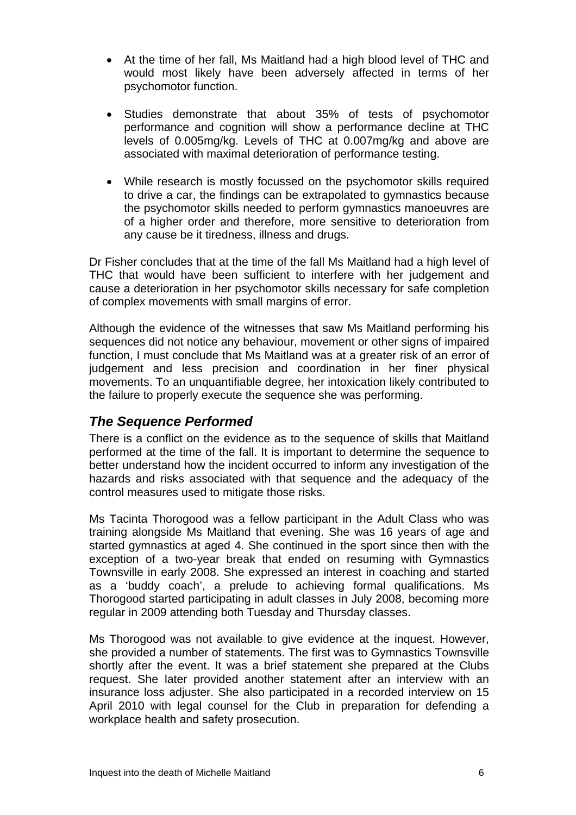- At the time of her fall, Ms Maitland had a high blood level of THC and would most likely have been adversely affected in terms of her psychomotor function.
- Studies demonstrate that about 35% of tests of psychomotor performance and cognition will show a performance decline at THC levels of 0.005mg/kg. Levels of THC at 0.007mg/kg and above are associated with maximal deterioration of performance testing.
- While research is mostly focussed on the psychomotor skills required to drive a car, the findings can be extrapolated to gymnastics because the psychomotor skills needed to perform gymnastics manoeuvres are of a higher order and therefore, more sensitive to deterioration from any cause be it tiredness, illness and drugs.

Dr Fisher concludes that at the time of the fall Ms Maitland had a high level of THC that would have been sufficient to interfere with her judgement and cause a deterioration in her psychomotor skills necessary for safe completion of complex movements with small margins of error.

Although the evidence of the witnesses that saw Ms Maitland performing his sequences did not notice any behaviour, movement or other signs of impaired function, I must conclude that Ms Maitland was at a greater risk of an error of judgement and less precision and coordination in her finer physical movements. To an unquantifiable degree, her intoxication likely contributed to the failure to properly execute the sequence she was performing.

# *The Sequence Performed*

There is a conflict on the evidence as to the sequence of skills that Maitland performed at the time of the fall. It is important to determine the sequence to better understand how the incident occurred to inform any investigation of the hazards and risks associated with that sequence and the adequacy of the control measures used to mitigate those risks.

Ms Tacinta Thorogood was a fellow participant in the Adult Class who was training alongside Ms Maitland that evening. She was 16 years of age and started gymnastics at aged 4. She continued in the sport since then with the exception of a two-year break that ended on resuming with Gymnastics Townsville in early 2008. She expressed an interest in coaching and started as a 'buddy coach', a prelude to achieving formal qualifications. Ms Thorogood started participating in adult classes in July 2008, becoming more regular in 2009 attending both Tuesday and Thursday classes.

Ms Thorogood was not available to give evidence at the inquest. However, she provided a number of statements. The first was to Gymnastics Townsville shortly after the event. It was a brief statement she prepared at the Clubs request. She later provided another statement after an interview with an insurance loss adjuster. She also participated in a recorded interview on 15 April 2010 with legal counsel for the Club in preparation for defending a workplace health and safety prosecution.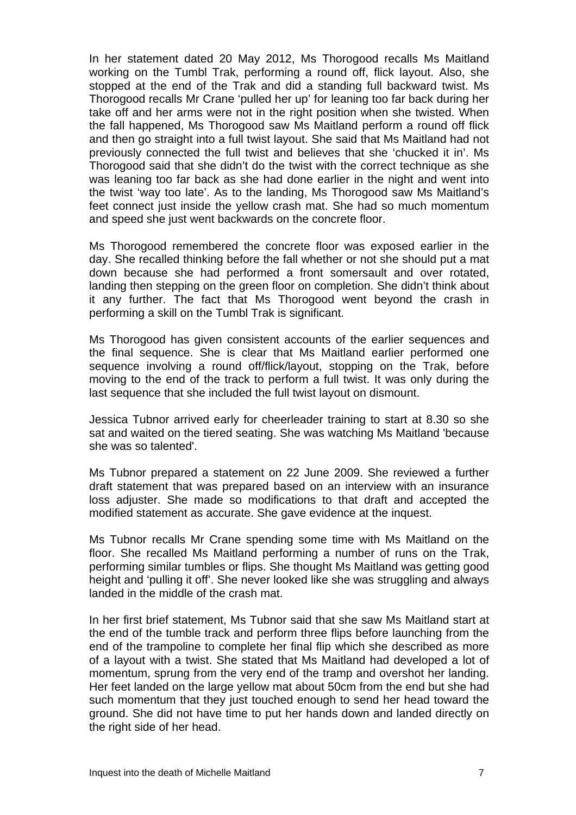In her statement dated 20 May 2012, Ms Thorogood recalls Ms Maitland working on the Tumbl Trak, performing a round off, flick layout. Also, she stopped at the end of the Trak and did a standing full backward twist. Ms Thorogood recalls Mr Crane 'pulled her up' for leaning too far back during her take off and her arms were not in the right position when she twisted. When the fall happened, Ms Thorogood saw Ms Maitland perform a round off flick and then go straight into a full twist layout. She said that Ms Maitland had not previously connected the full twist and believes that she 'chucked it in'. Ms Thorogood said that she didn't do the twist with the correct technique as she was leaning too far back as she had done earlier in the night and went into the twist 'way too late'. As to the landing, Ms Thorogood saw Ms Maitland's feet connect just inside the yellow crash mat. She had so much momentum and speed she just went backwards on the concrete floor.

Ms Thorogood remembered the concrete floor was exposed earlier in the day. She recalled thinking before the fall whether or not she should put a mat down because she had performed a front somersault and over rotated, landing then stepping on the green floor on completion. She didn't think about it any further. The fact that Ms Thorogood went beyond the crash in performing a skill on the Tumbl Trak is significant.

Ms Thorogood has given consistent accounts of the earlier sequences and the final sequence. She is clear that Ms Maitland earlier performed one sequence involving a round off/flick/layout, stopping on the Trak, before moving to the end of the track to perform a full twist. It was only during the last sequence that she included the full twist layout on dismount.

Jessica Tubnor arrived early for cheerleader training to start at 8.30 so she sat and waited on the tiered seating. She was watching Ms Maitland 'because she was so talented'.

Ms Tubnor prepared a statement on 22 June 2009. She reviewed a further draft statement that was prepared based on an interview with an insurance loss adjuster. She made so modifications to that draft and accepted the modified statement as accurate. She gave evidence at the inquest.

Ms Tubnor recalls Mr Crane spending some time with Ms Maitland on the floor. She recalled Ms Maitland performing a number of runs on the Trak, performing similar tumbles or flips. She thought Ms Maitland was getting good height and 'pulling it off'. She never looked like she was struggling and always landed in the middle of the crash mat.

In her first brief statement, Ms Tubnor said that she saw Ms Maitland start at the end of the tumble track and perform three flips before launching from the end of the trampoline to complete her final flip which she described as more of a layout with a twist. She stated that Ms Maitland had developed a lot of momentum, sprung from the very end of the tramp and overshot her landing. Her feet landed on the large yellow mat about 50cm from the end but she had such momentum that they just touched enough to send her head toward the ground. She did not have time to put her hands down and landed directly on the right side of her head.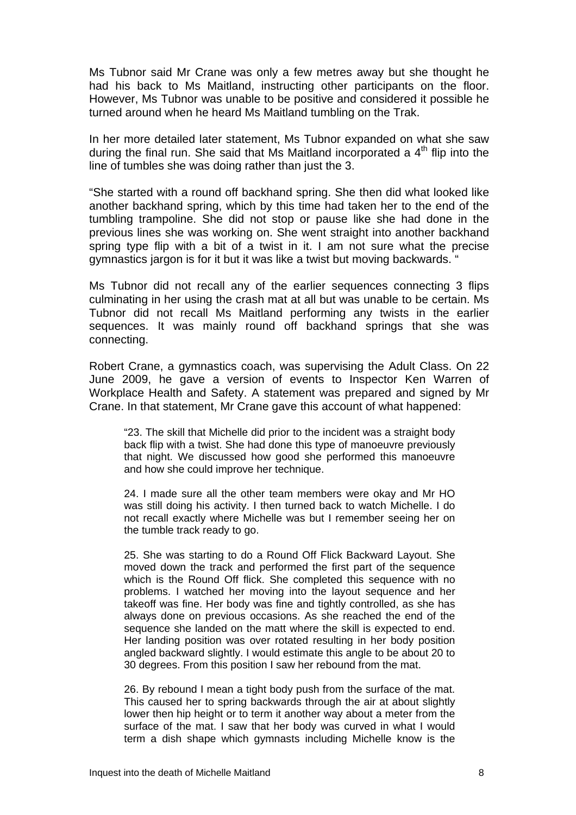Ms Tubnor said Mr Crane was only a few metres away but she thought he had his back to Ms Maitland, instructing other participants on the floor. However, Ms Tubnor was unable to be positive and considered it possible he turned around when he heard Ms Maitland tumbling on the Trak.

In her more detailed later statement, Ms Tubnor expanded on what she saw during the final run. She said that Ms Maitland incorporated a  $4<sup>th</sup>$  flip into the line of tumbles she was doing rather than just the 3.

"She started with a round off backhand spring. She then did what looked like another backhand spring, which by this time had taken her to the end of the tumbling trampoline. She did not stop or pause like she had done in the previous lines she was working on. She went straight into another backhand spring type flip with a bit of a twist in it. I am not sure what the precise gymnastics jargon is for it but it was like a twist but moving backwards. "

Ms Tubnor did not recall any of the earlier sequences connecting 3 flips culminating in her using the crash mat at all but was unable to be certain. Ms Tubnor did not recall Ms Maitland performing any twists in the earlier sequences. It was mainly round off backhand springs that she was connecting.

Robert Crane, a gymnastics coach, was supervising the Adult Class. On 22 June 2009, he gave a version of events to Inspector Ken Warren of Workplace Health and Safety. A statement was prepared and signed by Mr Crane. In that statement, Mr Crane gave this account of what happened:

"23. The skill that Michelle did prior to the incident was a straight body back flip with a twist. She had done this type of manoeuvre previously that night. We discussed how good she performed this manoeuvre and how she could improve her technique.

24. I made sure all the other team members were okay and Mr HO was still doing his activity. I then turned back to watch Michelle. I do not recall exactly where Michelle was but I remember seeing her on the tumble track ready to go.

25. She was starting to do a Round Off Flick Backward Layout. She moved down the track and performed the first part of the sequence which is the Round Off flick. She completed this sequence with no problems. I watched her moving into the layout sequence and her takeoff was fine. Her body was fine and tightly controlled, as she has always done on previous occasions. As she reached the end of the sequence she landed on the matt where the skill is expected to end. Her landing position was over rotated resulting in her body position angled backward slightly. I would estimate this angle to be about 20 to 30 degrees. From this position I saw her rebound from the mat.

26. By rebound I mean a tight body push from the surface of the mat. This caused her to spring backwards through the air at about slightly lower then hip height or to term it another way about a meter from the surface of the mat. I saw that her body was curved in what I would term a dish shape which gymnasts including Michelle know is the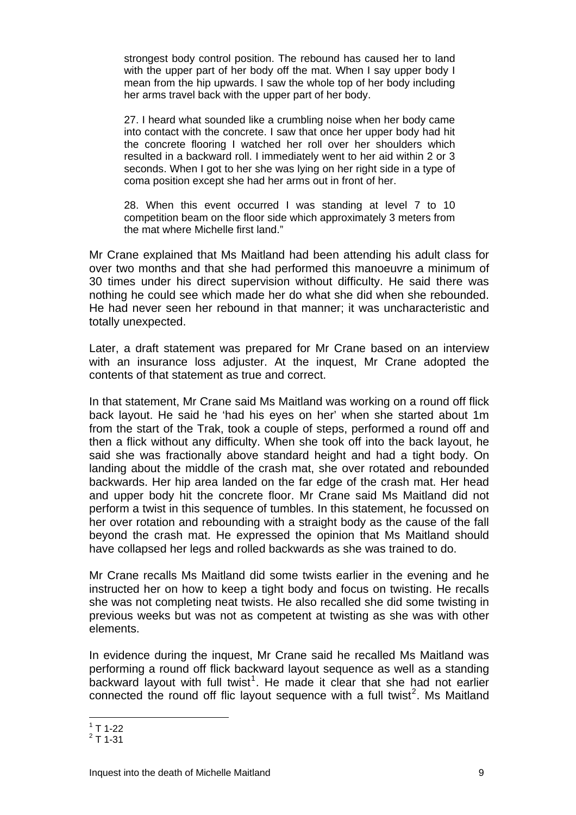strongest body control position. The rebound has caused her to land with the upper part of her body off the mat. When I say upper body I mean from the hip upwards. I saw the whole top of her body including her arms travel back with the upper part of her body.

27. I heard what sounded like a crumbling noise when her body came into contact with the concrete. I saw that once her upper body had hit the concrete flooring I watched her roll over her shoulders which resulted in a backward roll. I immediately went to her aid within 2 or 3 seconds. When I got to her she was Iving on her right side in a type of coma position except she had her arms out in front of her.

28. When this event occurred I was standing at level 7 to 10 competition beam on the floor side which approximately 3 meters from the mat where Michelle first land."

Mr Crane explained that Ms Maitland had been attending his adult class for over two months and that she had performed this manoeuvre a minimum of 30 times under his direct supervision without difficulty. He said there was nothing he could see which made her do what she did when she rebounded. He had never seen her rebound in that manner; it was uncharacteristic and totally unexpected.

Later, a draft statement was prepared for Mr Crane based on an interview with an insurance loss adjuster. At the inquest, Mr Crane adopted the contents of that statement as true and correct.

In that statement, Mr Crane said Ms Maitland was working on a round off flick back layout. He said he 'had his eyes on her' when she started about 1m from the start of the Trak, took a couple of steps, performed a round off and then a flick without any difficulty. When she took off into the back layout, he said she was fractionally above standard height and had a tight body. On landing about the middle of the crash mat, she over rotated and rebounded backwards. Her hip area landed on the far edge of the crash mat. Her head and upper body hit the concrete floor. Mr Crane said Ms Maitland did not perform a twist in this sequence of tumbles. In this statement, he focussed on her over rotation and rebounding with a straight body as the cause of the fall beyond the crash mat. He expressed the opinion that Ms Maitland should have collapsed her legs and rolled backwards as she was trained to do.

Mr Crane recalls Ms Maitland did some twists earlier in the evening and he instructed her on how to keep a tight body and focus on twisting. He recalls she was not completing neat twists. He also recalled she did some twisting in previous weeks but was not as competent at twisting as she was with other elements.

In evidence during the inquest, Mr Crane said he recalled Ms Maitland was performing a round off flick backward layout sequence as well as a standing backward layout with full twist<sup>[1](#page-9-0)</sup>. He made it clear that she had not earlier connected the round off flic layout sequence with a full twist<sup>[2](#page-9-1)</sup>. Ms Maitland

 $\overline{a}$  $1$  T 1-22

<span id="page-9-1"></span><span id="page-9-0"></span> $2$  T 1-31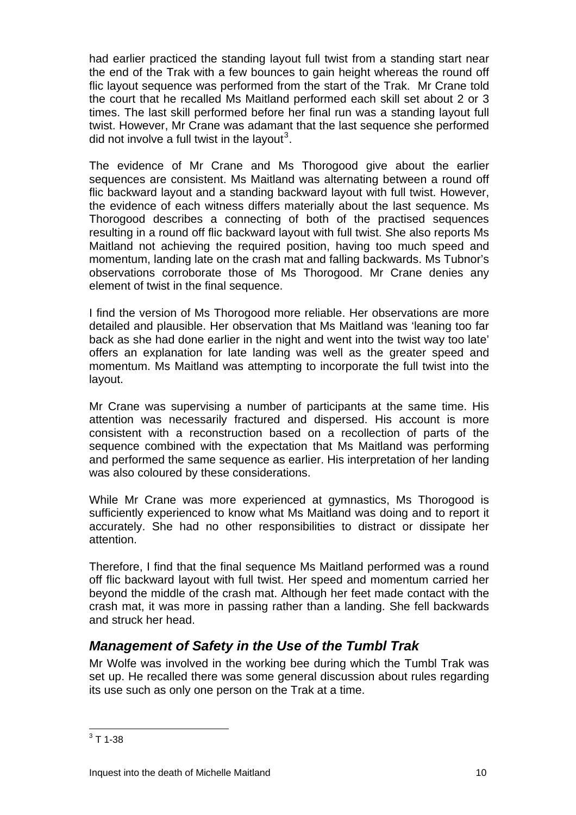had earlier practiced the standing layout full twist from a standing start near the end of the Trak with a few bounces to gain height whereas the round off flic layout sequence was performed from the start of the Trak. Mr Crane told the court that he recalled Ms Maitland performed each skill set about 2 or 3 times. The last skill performed before her final run was a standing layout full twist. However, Mr Crane was adamant that the last sequence she performed did not involve a full twist in the layout<sup>[3](#page-10-0)</sup>.

The evidence of Mr Crane and Ms Thorogood give about the earlier sequences are consistent. Ms Maitland was alternating between a round off flic backward layout and a standing backward layout with full twist. However, the evidence of each witness differs materially about the last sequence. Ms Thorogood describes a connecting of both of the practised sequences resulting in a round off flic backward layout with full twist. She also reports Ms Maitland not achieving the required position, having too much speed and momentum, landing late on the crash mat and falling backwards. Ms Tubnor's observations corroborate those of Ms Thorogood. Mr Crane denies any element of twist in the final sequence.

I find the version of Ms Thorogood more reliable. Her observations are more detailed and plausible. Her observation that Ms Maitland was 'leaning too far back as she had done earlier in the night and went into the twist way too late' offers an explanation for late landing was well as the greater speed and momentum. Ms Maitland was attempting to incorporate the full twist into the layout.

Mr Crane was supervising a number of participants at the same time. His attention was necessarily fractured and dispersed. His account is more consistent with a reconstruction based on a recollection of parts of the sequence combined with the expectation that Ms Maitland was performing and performed the same sequence as earlier. His interpretation of her landing was also coloured by these considerations.

While Mr Crane was more experienced at gymnastics, Ms Thorogood is sufficiently experienced to know what Ms Maitland was doing and to report it accurately. She had no other responsibilities to distract or dissipate her attention.

Therefore, I find that the final sequence Ms Maitland performed was a round off flic backward layout with full twist. Her speed and momentum carried her beyond the middle of the crash mat. Although her feet made contact with the crash mat, it was more in passing rather than a landing. She fell backwards and struck her head.

# *Management of Safety in the Use of the Tumbl Trak*

Mr Wolfe was involved in the working bee during which the Tumbl Trak was set up. He recalled there was some general discussion about rules regarding its use such as only one person on the Trak at a time.

<span id="page-10-0"></span> $\frac{1}{3}$  T 1-38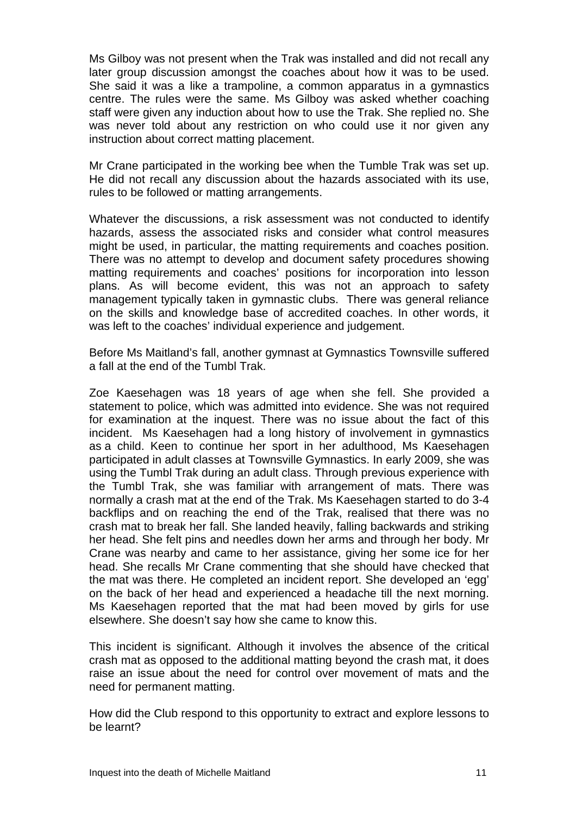Ms Gilboy was not present when the Trak was installed and did not recall any later group discussion amongst the coaches about how it was to be used. She said it was a like a trampoline, a common apparatus in a gymnastics centre. The rules were the same. Ms Gilboy was asked whether coaching staff were given any induction about how to use the Trak. She replied no. She was never told about any restriction on who could use it nor given any instruction about correct matting placement.

Mr Crane participated in the working bee when the Tumble Trak was set up. He did not recall any discussion about the hazards associated with its use, rules to be followed or matting arrangements.

Whatever the discussions, a risk assessment was not conducted to identify hazards, assess the associated risks and consider what control measures might be used, in particular, the matting requirements and coaches position. There was no attempt to develop and document safety procedures showing matting requirements and coaches' positions for incorporation into lesson plans. As will become evident, this was not an approach to safety management typically taken in gymnastic clubs. There was general reliance on the skills and knowledge base of accredited coaches. In other words, it was left to the coaches' individual experience and judgement.

Before Ms Maitland's fall, another gymnast at Gymnastics Townsville suffered a fall at the end of the Tumbl Trak.

Zoe Kaesehagen was 18 years of age when she fell. She provided a statement to police, which was admitted into evidence. She was not required for examination at the inquest. There was no issue about the fact of this incident. Ms Kaesehagen had a long history of involvement in gymnastics as a child. Keen to continue her sport in her adulthood, Ms Kaesehagen participated in adult classes at Townsville Gymnastics. In early 2009, she was using the Tumbl Trak during an adult class. Through previous experience with the Tumbl Trak, she was familiar with arrangement of mats. There was normally a crash mat at the end of the Trak. Ms Kaesehagen started to do 3-4 backflips and on reaching the end of the Trak, realised that there was no crash mat to break her fall. She landed heavily, falling backwards and striking her head. She felt pins and needles down her arms and through her body. Mr Crane was nearby and came to her assistance, giving her some ice for her head. She recalls Mr Crane commenting that she should have checked that the mat was there. He completed an incident report. She developed an 'egg' on the back of her head and experienced a headache till the next morning. Ms Kaesehagen reported that the mat had been moved by girls for use elsewhere. She doesn't say how she came to know this.

This incident is significant. Although it involves the absence of the critical crash mat as opposed to the additional matting beyond the crash mat, it does raise an issue about the need for control over movement of mats and the need for permanent matting.

How did the Club respond to this opportunity to extract and explore lessons to be learnt?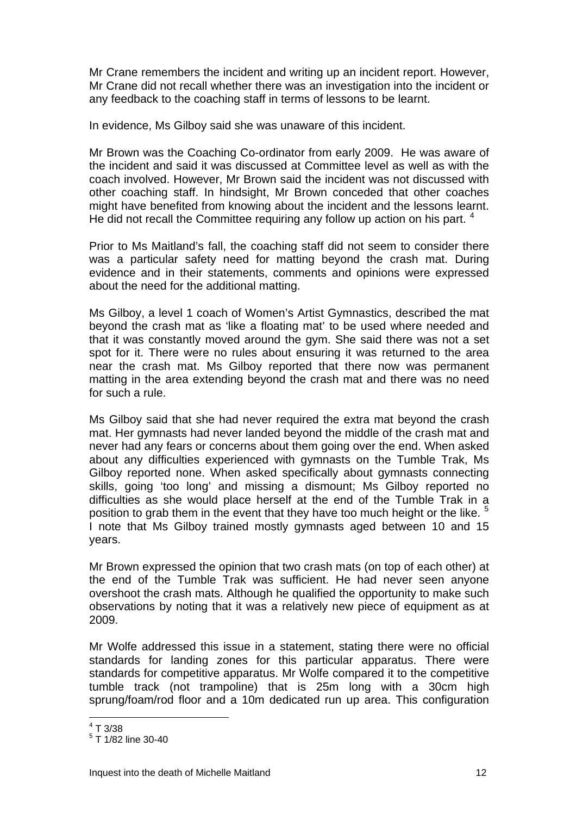Mr Crane remembers the incident and writing up an incident report. However, Mr Crane did not recall whether there was an investigation into the incident or any feedback to the coaching staff in terms of lessons to be learnt.

In evidence, Ms Gilboy said she was unaware of this incident.

Mr Brown was the Coaching Co-ordinator from early 2009. He was aware of the incident and said it was discussed at Committee level as well as with the coach involved. However, Mr Brown said the incident was not discussed with other coaching staff. In hindsight, Mr Brown conceded that other coaches might have benefited from knowing about the incident and the lessons learnt. He did not recall the Committee requiring any follow up action on his part.  $4$ 

Prior to Ms Maitland's fall, the coaching staff did not seem to consider there was a particular safety need for matting beyond the crash mat. During evidence and in their statements, comments and opinions were expressed about the need for the additional matting.

Ms Gilboy, a level 1 coach of Women's Artist Gymnastics, described the mat beyond the crash mat as 'like a floating mat' to be used where needed and that it was constantly moved around the gym. She said there was not a set spot for it. There were no rules about ensuring it was returned to the area near the crash mat. Ms Gilboy reported that there now was permanent matting in the area extending beyond the crash mat and there was no need for such a rule.

Ms Gilboy said that she had never required the extra mat beyond the crash mat. Her gymnasts had never landed beyond the middle of the crash mat and never had any fears or concerns about them going over the end. When asked about any difficulties experienced with gymnasts on the Tumble Trak, Ms Gilboy reported none. When asked specifically about gymnasts connecting skills, going 'too long' and missing a dismount; Ms Gilboy reported no difficulties as she would place herself at the end of the Tumble Trak in a position to grab them in the event that they have too much height or the like.<sup>[5](#page-12-1)</sup> I note that Ms Gilboy trained mostly gymnasts aged between 10 and 15 years.

Mr Brown expressed the opinion that two crash mats (on top of each other) at the end of the Tumble Trak was sufficient. He had never seen anyone overshoot the crash mats. Although he qualified the opportunity to make such observations by noting that it was a relatively new piece of equipment as at 2009.

Mr Wolfe addressed this issue in a statement, stating there were no official standards for landing zones for this particular apparatus. There were standards for competitive apparatus. Mr Wolfe compared it to the competitive tumble track (not trampoline) that is 25m long with a 30cm high sprung/foam/rod floor and a 10m dedicated run up area. This configuration

 $\frac{4}{1}$  T 3/38

<span id="page-12-1"></span><span id="page-12-0"></span><sup>&</sup>lt;sup>5</sup> T 1/82 line 30-40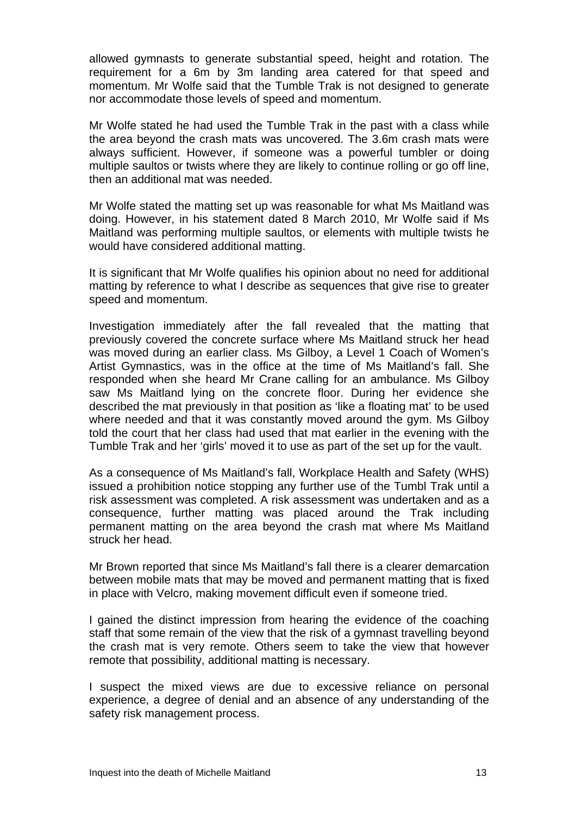allowed gymnasts to generate substantial speed, height and rotation. The requirement for a 6m by 3m landing area catered for that speed and momentum. Mr Wolfe said that the Tumble Trak is not designed to generate nor accommodate those levels of speed and momentum.

Mr Wolfe stated he had used the Tumble Trak in the past with a class while the area beyond the crash mats was uncovered. The 3.6m crash mats were always sufficient. However, if someone was a powerful tumbler or doing multiple saultos or twists where they are likely to continue rolling or go off line, then an additional mat was needed.

Mr Wolfe stated the matting set up was reasonable for what Ms Maitland was doing. However, in his statement dated 8 March 2010, Mr Wolfe said if Ms Maitland was performing multiple saultos, or elements with multiple twists he would have considered additional matting.

It is significant that Mr Wolfe qualifies his opinion about no need for additional matting by reference to what I describe as sequences that give rise to greater speed and momentum.

Investigation immediately after the fall revealed that the matting that previously covered the concrete surface where Ms Maitland struck her head was moved during an earlier class. Ms Gilboy, a Level 1 Coach of Women's Artist Gymnastics, was in the office at the time of Ms Maitland's fall. She responded when she heard Mr Crane calling for an ambulance. Ms Gilboy saw Ms Maitland lying on the concrete floor. During her evidence she described the mat previously in that position as 'like a floating mat' to be used where needed and that it was constantly moved around the gym. Ms Gilboy told the court that her class had used that mat earlier in the evening with the Tumble Trak and her 'girls' moved it to use as part of the set up for the vault.

As a consequence of Ms Maitland's fall, Workplace Health and Safety (WHS) issued a prohibition notice stopping any further use of the Tumbl Trak until a risk assessment was completed. A risk assessment was undertaken and as a consequence, further matting was placed around the Trak including permanent matting on the area beyond the crash mat where Ms Maitland struck her head.

Mr Brown reported that since Ms Maitland's fall there is a clearer demarcation between mobile mats that may be moved and permanent matting that is fixed in place with Velcro, making movement difficult even if someone tried.

I gained the distinct impression from hearing the evidence of the coaching staff that some remain of the view that the risk of a gymnast travelling beyond the crash mat is very remote. Others seem to take the view that however remote that possibility, additional matting is necessary.

I suspect the mixed views are due to excessive reliance on personal experience, a degree of denial and an absence of any understanding of the safety risk management process.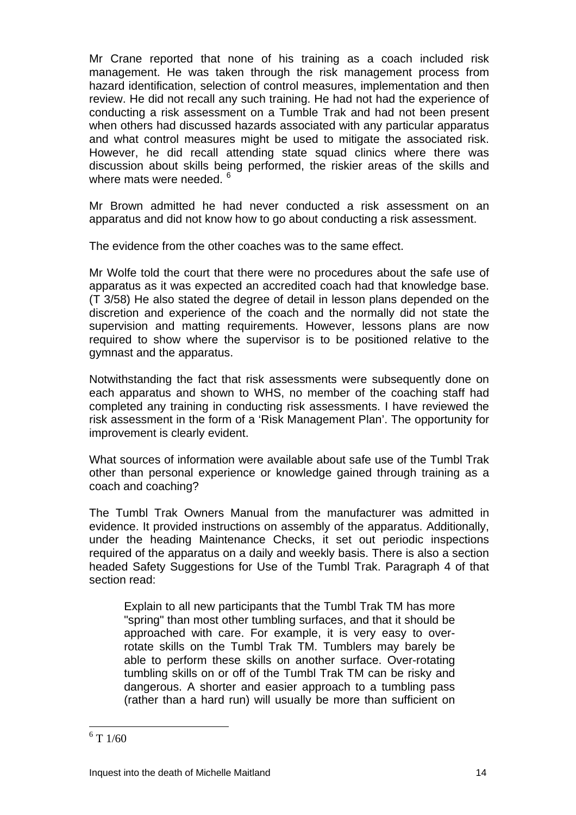Mr Crane reported that none of his training as a coach included risk management. He was taken through the risk management process from hazard identification, selection of control measures, implementation and then review. He did not recall any such training. He had not had the experience of conducting a risk assessment on a Tumble Trak and had not been present when others had discussed hazards associated with any particular apparatus and what control measures might be used to mitigate the associated risk. However, he did recall attending state squad clinics where there was discussion about skills being performed, the riskier areas of the skills and where mats were needed. <sup>[6](#page-14-0)</sup>

Mr Brown admitted he had never conducted a risk assessment on an apparatus and did not know how to go about conducting a risk assessment.

The evidence from the other coaches was to the same effect.

Mr Wolfe told the court that there were no procedures about the safe use of apparatus as it was expected an accredited coach had that knowledge base. (T 3/58) He also stated the degree of detail in lesson plans depended on the discretion and experience of the coach and the normally did not state the supervision and matting requirements. However, lessons plans are now required to show where the supervisor is to be positioned relative to the gymnast and the apparatus.

Notwithstanding the fact that risk assessments were subsequently done on each apparatus and shown to WHS, no member of the coaching staff had completed any training in conducting risk assessments. I have reviewed the risk assessment in the form of a 'Risk Management Plan'. The opportunity for improvement is clearly evident.

What sources of information were available about safe use of the Tumbl Trak other than personal experience or knowledge gained through training as a coach and coaching?

The Tumbl Trak Owners Manual from the manufacturer was admitted in evidence. It provided instructions on assembly of the apparatus. Additionally, under the heading Maintenance Checks, it set out periodic inspections required of the apparatus on a daily and weekly basis. There is also a section headed Safety Suggestions for Use of the Tumbl Trak. Paragraph 4 of that section read:

Explain to all new participants that the Tumbl Trak TM has more "spring" than most other tumbling surfaces, and that it should be approached with care. For example, it is very easy to overrotate skills on the Tumbl Trak TM. Tumblers may barely be able to perform these skills on another surface. Over-rotating tumbling skills on or off of the Tumbl Trak TM can be risky and dangerous. A shorter and easier approach to a tumbling pass (rather than a hard run) will usually be more than sufficient on

 $\overline{a}$ 

<span id="page-14-0"></span> $6$  T 1/60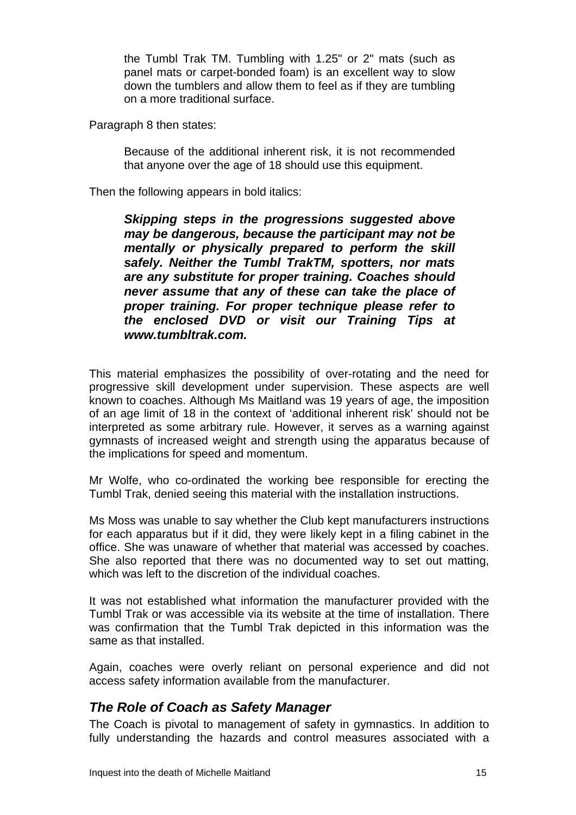the Tumbl Trak TM. Tumbling with 1.25" or 2" mats (such as panel mats or carpet-bonded foam) is an excellent way to slow down the tumblers and allow them to feel as if they are tumbling on a more traditional surface.

Paragraph 8 then states:

Because of the additional inherent risk, it is not recommended that anyone over the age of 18 should use this equipment.

Then the following appears in bold italics:

*Skipping steps in the progressions suggested above may be dangerous, because the participant may not be mentally or physically prepared to perform the skill safely. Neither the Tumbl TrakTM, spotters, nor mats are any substitute for proper training. Coaches should never assume that any of these can take the place of proper training. For proper technique please refer to the enclosed DVD or visit our Training Tips at www.tumbltrak.com.*

This material emphasizes the possibility of over-rotating and the need for progressive skill development under supervision. These aspects are well known to coaches. Although Ms Maitland was 19 years of age, the imposition of an age limit of 18 in the context of 'additional inherent risk' should not be interpreted as some arbitrary rule. However, it serves as a warning against gymnasts of increased weight and strength using the apparatus because of the implications for speed and momentum.

Mr Wolfe, who co-ordinated the working bee responsible for erecting the Tumbl Trak, denied seeing this material with the installation instructions.

Ms Moss was unable to say whether the Club kept manufacturers instructions for each apparatus but if it did, they were likely kept in a filing cabinet in the office. She was unaware of whether that material was accessed by coaches. She also reported that there was no documented way to set out matting, which was left to the discretion of the individual coaches.

It was not established what information the manufacturer provided with the Tumbl Trak or was accessible via its website at the time of installation. There was confirmation that the Tumbl Trak depicted in this information was the same as that installed.

Again, coaches were overly reliant on personal experience and did not access safety information available from the manufacturer.

#### *The Role of Coach as Safety Manager*

The Coach is pivotal to management of safety in gymnastics. In addition to fully understanding the hazards and control measures associated with a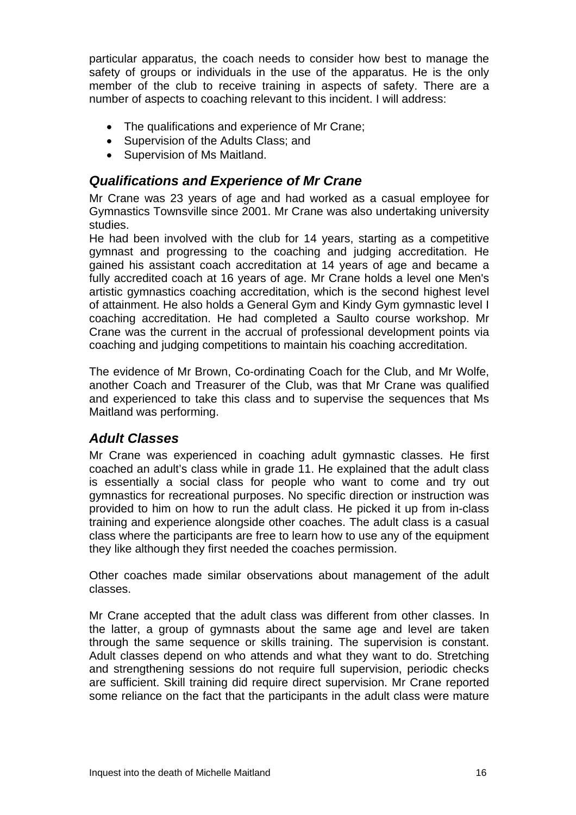particular apparatus, the coach needs to consider how best to manage the safety of groups or individuals in the use of the apparatus. He is the only member of the club to receive training in aspects of safety. There are a number of aspects to coaching relevant to this incident. I will address:

- The qualifications and experience of Mr Crane;
- Supervision of the Adults Class; and
- Supervision of Ms Maitland.

#### *Qualifications and Experience of Mr Crane*

Mr Crane was 23 years of age and had worked as a casual employee for Gymnastics Townsville since 2001. Mr Crane was also undertaking university studies.

He had been involved with the club for 14 years, starting as a competitive gymnast and progressing to the coaching and judging accreditation. He gained his assistant coach accreditation at 14 years of age and became a fully accredited coach at 16 years of age. Mr Crane holds a level one Men's artistic gymnastics coaching accreditation, which is the second highest level of attainment. He also holds a General Gym and Kindy Gym gymnastic level I coaching accreditation. He had completed a Saulto course workshop. Mr Crane was the current in the accrual of professional development points via coaching and judging competitions to maintain his coaching accreditation.

The evidence of Mr Brown, Co-ordinating Coach for the Club, and Mr Wolfe, another Coach and Treasurer of the Club, was that Mr Crane was qualified and experienced to take this class and to supervise the sequences that Ms Maitland was performing.

#### *Adult Classes*

Mr Crane was experienced in coaching adult gymnastic classes. He first coached an adult's class while in grade 11. He explained that the adult class is essentially a social class for people who want to come and try out gymnastics for recreational purposes. No specific direction or instruction was provided to him on how to run the adult class. He picked it up from in-class training and experience alongside other coaches. The adult class is a casual class where the participants are free to learn how to use any of the equipment they like although they first needed the coaches permission.

Other coaches made similar observations about management of the adult classes.

Mr Crane accepted that the adult class was different from other classes. In the latter, a group of gymnasts about the same age and level are taken through the same sequence or skills training. The supervision is constant. Adult classes depend on who attends and what they want to do. Stretching and strengthening sessions do not require full supervision, periodic checks are sufficient. Skill training did require direct supervision. Mr Crane reported some reliance on the fact that the participants in the adult class were mature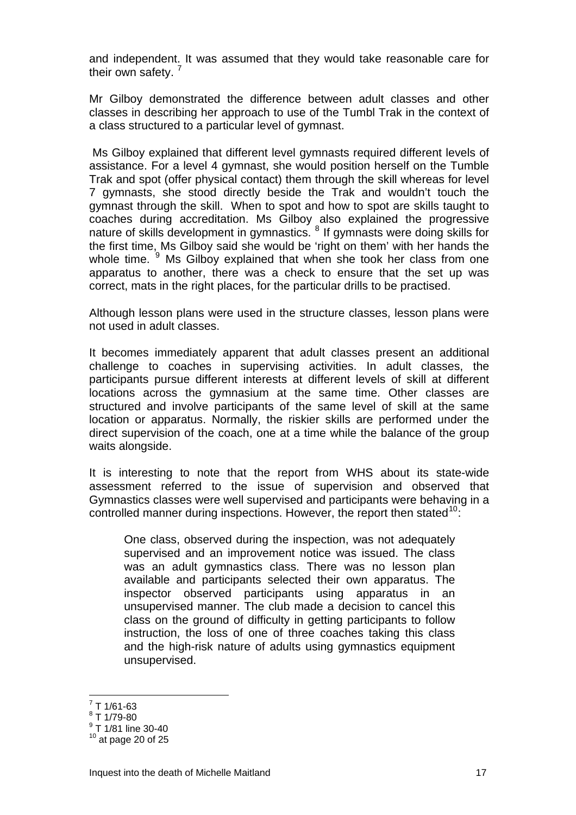and independent. It was assumed that they would take reasonable care for their own safety.<sup>[7](#page-17-0)</sup>

Mr Gilboy demonstrated the difference between adult classes and other classes in describing her approach to use of the Tumbl Trak in the context of a class structured to a particular level of gymnast.

 Ms Gilboy explained that different level gymnasts required different levels of assistance. For a level 4 gymnast, she would position herself on the Tumble Trak and spot (offer physical contact) them through the skill whereas for level 7 gymnasts, she stood directly beside the Trak and wouldn't touch the gymnast through the skill. When to spot and how to spot are skills taught to coaches during accreditation. Ms Gilboy also explained the progressive nature of skills development in gymnastics. <sup>[8](#page-17-1)</sup> If gymnasts were doing skills for the first time, Ms Gilboy said she would be 'right on them' with her hands the whole time. <sup>[9](#page-17-2)</sup> Ms Gilboy explained that when she took her class from one apparatus to another, there was a check to ensure that the set up was correct, mats in the right places, for the particular drills to be practised.

Although lesson plans were used in the structure classes, lesson plans were not used in adult classes.

It becomes immediately apparent that adult classes present an additional challenge to coaches in supervising activities. In adult classes, the participants pursue different interests at different levels of skill at different locations across the gymnasium at the same time. Other classes are structured and involve participants of the same level of skill at the same location or apparatus. Normally, the riskier skills are performed under the direct supervision of the coach, one at a time while the balance of the group waits alongside.

It is interesting to note that the report from WHS about its state-wide assessment referred to the issue of supervision and observed that Gymnastics classes were well supervised and participants were behaving in a controlled manner during inspections. However, the report then stated  $10$ .

One class, observed during the inspection, was not adequately supervised and an improvement notice was issued. The class was an adult gymnastics class. There was no lesson plan available and participants selected their own apparatus. The inspector observed participants using apparatus in an unsupervised manner. The club made a decision to cancel this class on the ground of difficulty in getting participants to follow instruction, the loss of one of three coaches taking this class and the high-risk nature of adults using gymnastics equipment unsupervised.

 7 T 1/61-63

<span id="page-17-1"></span><span id="page-17-0"></span><sup>8</sup> T 1/79-80

<sup>&</sup>lt;sup>9</sup> T 1/81 line 30-40

<span id="page-17-3"></span><span id="page-17-2"></span> $10$  at page 20 of 25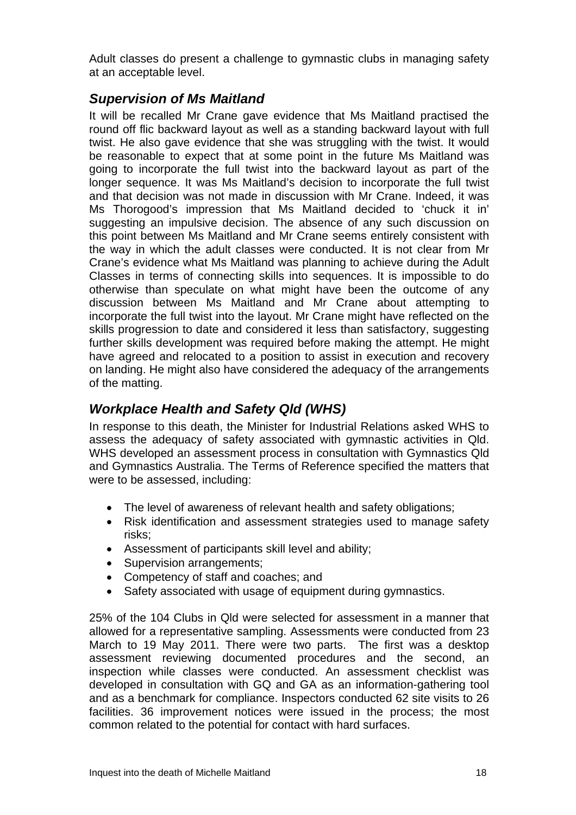Adult classes do present a challenge to gymnastic clubs in managing safety at an acceptable level.

### *Supervision of Ms Maitland*

It will be recalled Mr Crane gave evidence that Ms Maitland practised the round off flic backward layout as well as a standing backward layout with full twist. He also gave evidence that she was struggling with the twist. It would be reasonable to expect that at some point in the future Ms Maitland was going to incorporate the full twist into the backward layout as part of the longer sequence. It was Ms Maitland's decision to incorporate the full twist and that decision was not made in discussion with Mr Crane. Indeed, it was Ms Thorogood's impression that Ms Maitland decided to 'chuck it in' suggesting an impulsive decision. The absence of any such discussion on this point between Ms Maitland and Mr Crane seems entirely consistent with the way in which the adult classes were conducted. It is not clear from Mr Crane's evidence what Ms Maitland was planning to achieve during the Adult Classes in terms of connecting skills into sequences. It is impossible to do otherwise than speculate on what might have been the outcome of any discussion between Ms Maitland and Mr Crane about attempting to incorporate the full twist into the layout. Mr Crane might have reflected on the skills progression to date and considered it less than satisfactory, suggesting further skills development was required before making the attempt. He might have agreed and relocated to a position to assist in execution and recovery on landing. He might also have considered the adequacy of the arrangements of the matting.

# *Workplace Health and Safety Qld (WHS)*

In response to this death, the Minister for Industrial Relations asked WHS to assess the adequacy of safety associated with gymnastic activities in Qld. WHS developed an assessment process in consultation with Gymnastics Qld and Gymnastics Australia. The Terms of Reference specified the matters that were to be assessed, including:

- The level of awareness of relevant health and safety obligations;
- Risk identification and assessment strategies used to manage safety risks;
- Assessment of participants skill level and ability;
- Supervision arrangements;
- Competency of staff and coaches; and
- Safety associated with usage of equipment during gymnastics.

25% of the 104 Clubs in Qld were selected for assessment in a manner that allowed for a representative sampling. Assessments were conducted from 23 March to 19 May 2011. There were two parts. The first was a desktop assessment reviewing documented procedures and the second, an inspection while classes were conducted. An assessment checklist was developed in consultation with GQ and GA as an information-gathering tool and as a benchmark for compliance. Inspectors conducted 62 site visits to 26 facilities. 36 improvement notices were issued in the process; the most common related to the potential for contact with hard surfaces.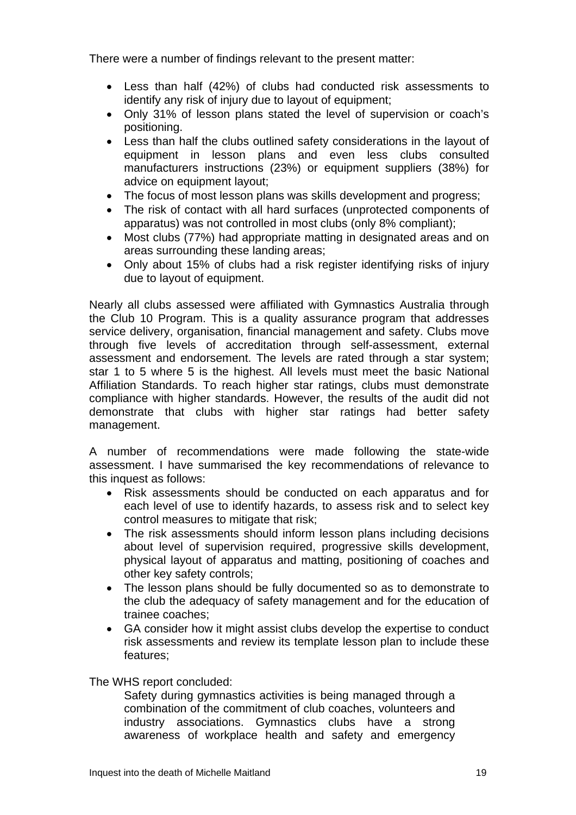There were a number of findings relevant to the present matter:

- Less than half (42%) of clubs had conducted risk assessments to identify any risk of injury due to layout of equipment;
- Only 31% of lesson plans stated the level of supervision or coach's positioning.
- Less than half the clubs outlined safety considerations in the layout of equipment in lesson plans and even less clubs consulted manufacturers instructions (23%) or equipment suppliers (38%) for advice on equipment layout;
- The focus of most lesson plans was skills development and progress;
- The risk of contact with all hard surfaces (unprotected components of apparatus) was not controlled in most clubs (only 8% compliant);
- Most clubs (77%) had appropriate matting in designated areas and on areas surrounding these landing areas;
- Only about 15% of clubs had a risk register identifying risks of injury due to layout of equipment.

Nearly all clubs assessed were affiliated with Gymnastics Australia through the Club 10 Program. This is a quality assurance program that addresses service delivery, organisation, financial management and safety. Clubs move through five levels of accreditation through self-assessment, external assessment and endorsement. The levels are rated through a star system; star 1 to 5 where 5 is the highest. All levels must meet the basic National Affiliation Standards. To reach higher star ratings, clubs must demonstrate compliance with higher standards. However, the results of the audit did not demonstrate that clubs with higher star ratings had better safety management.

A number of recommendations were made following the state-wide assessment. I have summarised the key recommendations of relevance to this inquest as follows:

- Risk assessments should be conducted on each apparatus and for each level of use to identify hazards, to assess risk and to select key control measures to mitigate that risk;
- The risk assessments should inform lesson plans including decisions about level of supervision required, progressive skills development, physical layout of apparatus and matting, positioning of coaches and other key safety controls;
- The lesson plans should be fully documented so as to demonstrate to the club the adequacy of safety management and for the education of trainee coaches;
- GA consider how it might assist clubs develop the expertise to conduct risk assessments and review its template lesson plan to include these features;

The WHS report concluded:

Safety during gymnastics activities is being managed through a combination of the commitment of club coaches, volunteers and industry associations. Gymnastics clubs have a strong awareness of workplace health and safety and emergency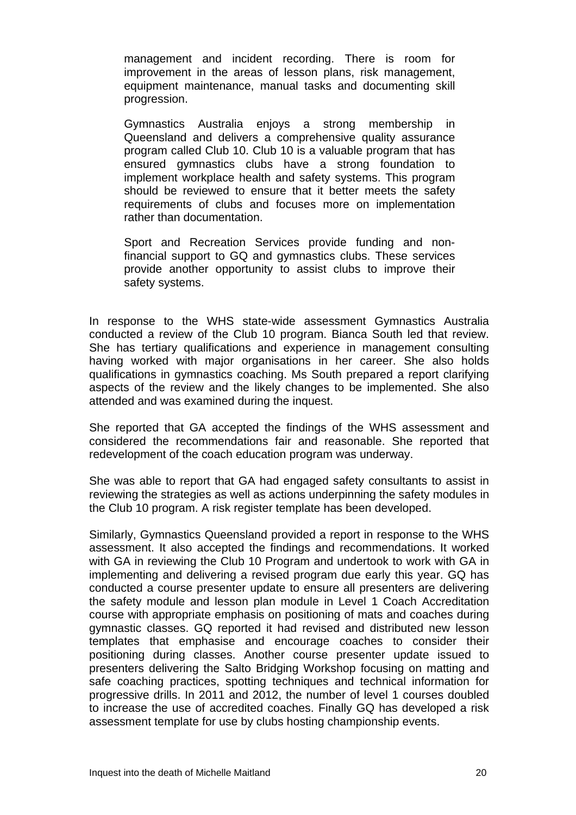management and incident recording. There is room for improvement in the areas of lesson plans, risk management, equipment maintenance, manual tasks and documenting skill progression.

Gymnastics Australia enjoys a strong membership in Queensland and delivers a comprehensive quality assurance program called Club 10. Club 10 is a valuable program that has ensured gymnastics clubs have a strong foundation to implement workplace health and safety systems. This program should be reviewed to ensure that it better meets the safety requirements of clubs and focuses more on implementation rather than documentation.

Sport and Recreation Services provide funding and nonfinancial support to GQ and gymnastics clubs. These services provide another opportunity to assist clubs to improve their safety systems.

In response to the WHS state-wide assessment Gymnastics Australia conducted a review of the Club 10 program. Bianca South led that review. She has tertiary qualifications and experience in management consulting having worked with major organisations in her career. She also holds qualifications in gymnastics coaching. Ms South prepared a report clarifying aspects of the review and the likely changes to be implemented. She also attended and was examined during the inquest.

She reported that GA accepted the findings of the WHS assessment and considered the recommendations fair and reasonable. She reported that redevelopment of the coach education program was underway.

She was able to report that GA had engaged safety consultants to assist in reviewing the strategies as well as actions underpinning the safety modules in the Club 10 program. A risk register template has been developed.

Similarly, Gymnastics Queensland provided a report in response to the WHS assessment. It also accepted the findings and recommendations. It worked with GA in reviewing the Club 10 Program and undertook to work with GA in implementing and delivering a revised program due early this year. GQ has conducted a course presenter update to ensure all presenters are delivering the safety module and lesson plan module in Level 1 Coach Accreditation course with appropriate emphasis on positioning of mats and coaches during gymnastic classes. GQ reported it had revised and distributed new lesson templates that emphasise and encourage coaches to consider their positioning during classes. Another course presenter update issued to presenters delivering the Salto Bridging Workshop focusing on matting and safe coaching practices, spotting techniques and technical information for progressive drills. In 2011 and 2012, the number of level 1 courses doubled to increase the use of accredited coaches. Finally GQ has developed a risk assessment template for use by clubs hosting championship events.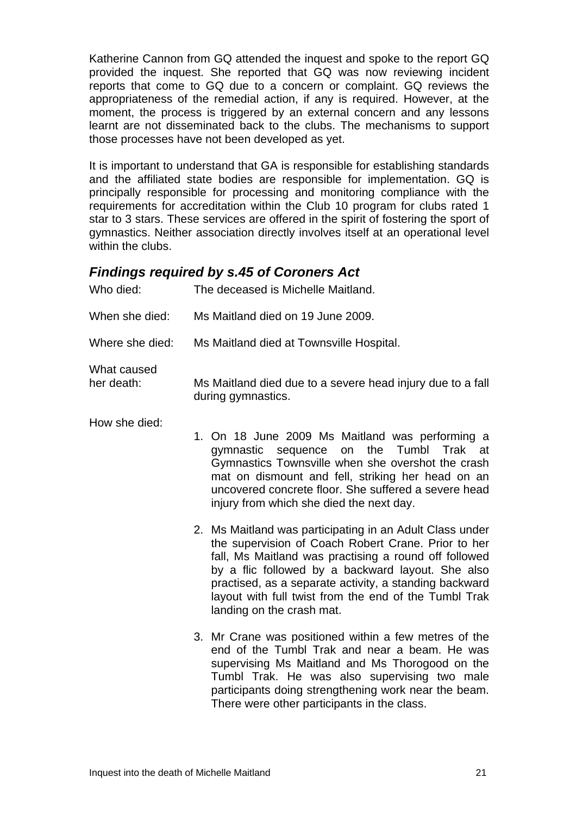Katherine Cannon from GQ attended the inquest and spoke to the report GQ provided the inquest. She reported that GQ was now reviewing incident reports that come to GQ due to a concern or complaint. GQ reviews the appropriateness of the remedial action, if any is required. However, at the moment, the process is triggered by an external concern and any lessons learnt are not disseminated back to the clubs. The mechanisms to support those processes have not been developed as yet.

It is important to understand that GA is responsible for establishing standards and the affiliated state bodies are responsible for implementation. GQ is principally responsible for processing and monitoring compliance with the requirements for accreditation within the Club 10 program for clubs rated 1 star to 3 stars. These services are offered in the spirit of fostering the sport of gymnastics. Neither association directly involves itself at an operational level within the clubs.

#### *Findings required by s.45 of Coroners Act*

| Who died:                 | The deceased is Michelle Maitland.                                               |
|---------------------------|----------------------------------------------------------------------------------|
| When she died:            | Ms Maitland died on 19 June 2009.                                                |
| Where she died:           | Ms Maitland died at Townsville Hospital.                                         |
| What caused<br>her death: | Ms Maitland died due to a severe head injury due to a fall<br>during gymnastics. |

How she died:

- 1. On 18 June 2009 Ms Maitland was performing a gymnastic sequence on the Tumbl Trak at Gymnastics Townsville when she overshot the crash mat on dismount and fell, striking her head on an uncovered concrete floor. She suffered a severe head injury from which she died the next day.
	- 2. Ms Maitland was participating in an Adult Class under the supervision of Coach Robert Crane. Prior to her fall, Ms Maitland was practising a round off followed by a flic followed by a backward layout. She also practised, as a separate activity, a standing backward layout with full twist from the end of the Tumbl Trak landing on the crash mat.
	- 3. Mr Crane was positioned within a few metres of the end of the Tumbl Trak and near a beam. He was supervising Ms Maitland and Ms Thorogood on the Tumbl Trak. He was also supervising two male participants doing strengthening work near the beam. There were other participants in the class.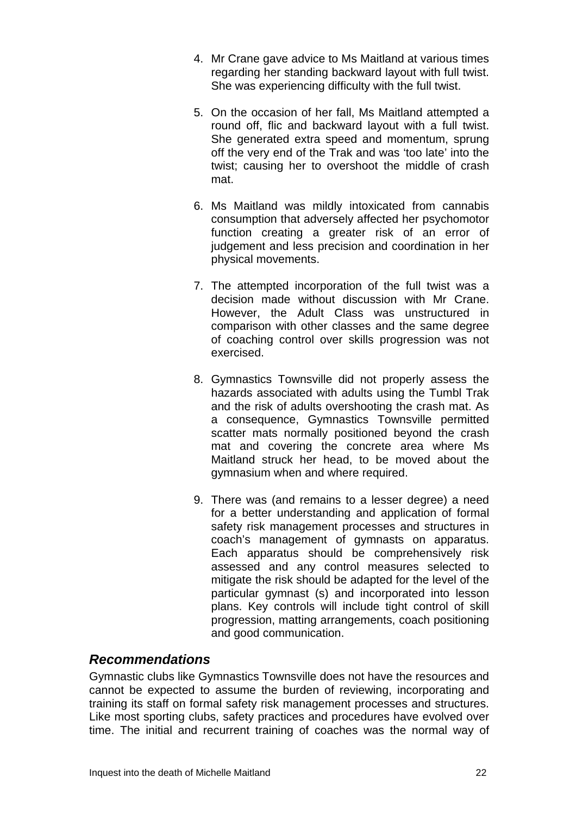- 4. Mr Crane gave advice to Ms Maitland at various times regarding her standing backward layout with full twist. She was experiencing difficulty with the full twist.
- 5. On the occasion of her fall, Ms Maitland attempted a round off, flic and backward layout with a full twist. She generated extra speed and momentum, sprung off the very end of the Trak and was 'too late' into the twist; causing her to overshoot the middle of crash mat.
- 6. Ms Maitland was mildly intoxicated from cannabis consumption that adversely affected her psychomotor function creating a greater risk of an error of judgement and less precision and coordination in her physical movements.
- 7. The attempted incorporation of the full twist was a decision made without discussion with Mr Crane. However, the Adult Class was unstructured in comparison with other classes and the same degree of coaching control over skills progression was not exercised.
- 8. Gymnastics Townsville did not properly assess the hazards associated with adults using the Tumbl Trak and the risk of adults overshooting the crash mat. As a consequence, Gymnastics Townsville permitted scatter mats normally positioned beyond the crash mat and covering the concrete area where Ms Maitland struck her head, to be moved about the gymnasium when and where required.
- 9. There was (and remains to a lesser degree) a need for a better understanding and application of formal safety risk management processes and structures in coach's management of gymnasts on apparatus. Each apparatus should be comprehensively risk assessed and any control measures selected to mitigate the risk should be adapted for the level of the particular gymnast (s) and incorporated into lesson plans. Key controls will include tight control of skill progression, matting arrangements, coach positioning and good communication.

#### *Recommendations*

Gymnastic clubs like Gymnastics Townsville does not have the resources and cannot be expected to assume the burden of reviewing, incorporating and training its staff on formal safety risk management processes and structures. Like most sporting clubs, safety practices and procedures have evolved over time. The initial and recurrent training of coaches was the normal way of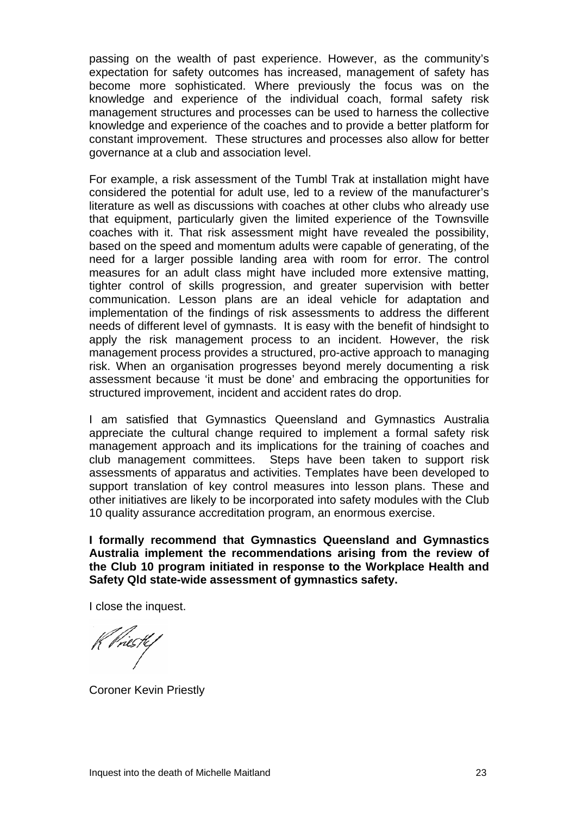passing on the wealth of past experience. However, as the community's expectation for safety outcomes has increased, management of safety has become more sophisticated. Where previously the focus was on the knowledge and experience of the individual coach, formal safety risk management structures and processes can be used to harness the collective knowledge and experience of the coaches and to provide a better platform for constant improvement. These structures and processes also allow for better governance at a club and association level.

For example, a risk assessment of the Tumbl Trak at installation might have considered the potential for adult use, led to a review of the manufacturer's literature as well as discussions with coaches at other clubs who already use that equipment, particularly given the limited experience of the Townsville coaches with it. That risk assessment might have revealed the possibility, based on the speed and momentum adults were capable of generating, of the need for a larger possible landing area with room for error. The control measures for an adult class might have included more extensive matting, tighter control of skills progression, and greater supervision with better communication. Lesson plans are an ideal vehicle for adaptation and implementation of the findings of risk assessments to address the different needs of different level of gymnasts. It is easy with the benefit of hindsight to apply the risk management process to an incident. However, the risk management process provides a structured, pro-active approach to managing risk. When an organisation progresses beyond merely documenting a risk assessment because 'it must be done' and embracing the opportunities for structured improvement, incident and accident rates do drop.

I am satisfied that Gymnastics Queensland and Gymnastics Australia appreciate the cultural change required to implement a formal safety risk management approach and its implications for the training of coaches and club management committees. Steps have been taken to support risk assessments of apparatus and activities. Templates have been developed to support translation of key control measures into lesson plans. These and other initiatives are likely to be incorporated into safety modules with the Club 10 quality assurance accreditation program, an enormous exercise.

**I formally recommend that Gymnastics Queensland and Gymnastics Australia implement the recommendations arising from the review of the Club 10 program initiated in response to the Workplace Health and Safety Qld state-wide assessment of gymnastics safety.** 

I close the inquest.

K Priestef

Coroner Kevin Priestly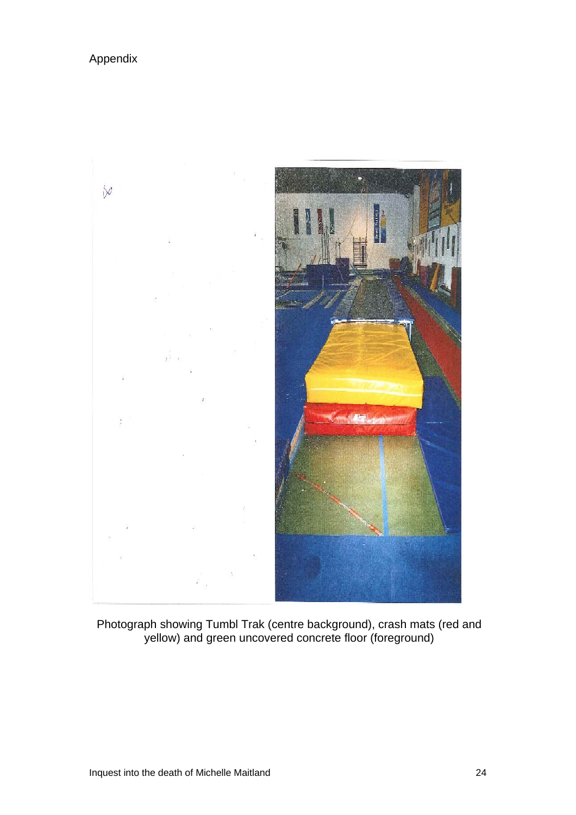#### Appendix



Photograph showing Tumbl Trak (centre background), crash mats (red and yellow) and green uncovered concrete floor (foreground)